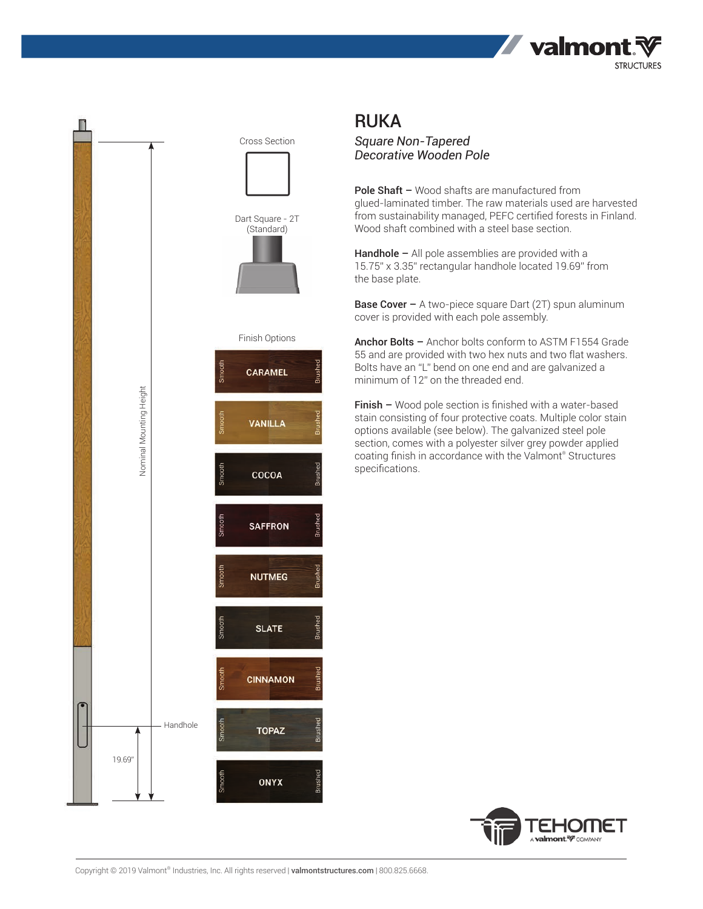



## RUKA

*Square Non-Tapered Decorative Wooden Pole*

Pole Shaft - Wood shafts are manufactured from glued-laminated timber. The raw materials used are harvested from sustainability managed, PEFC certified forests in Finland. Wood shaft combined with a steel base section.

Handhole – All pole assemblies are provided with a 15.75" x 3.35" rectangular handhole located 19.69" from the base plate.

**Base Cover –** A two-piece square Dart (2T) spun aluminum cover is provided with each pole assembly.

Anchor Bolts - Anchor bolts conform to ASTM F1554 Grade 55 and are provided with two hex nuts and two flat washers. Bolts have an "L" bend on one end and are galvanized a minimum of 12" on the threaded end.

Finish – Wood pole section is finished with a water-based stain consisting of four protective coats. Multiple color stain options available (see below). The galvanized steel pole section, comes with a polyester silver grey powder applied coating finish in accordance with the Valmont® Structures specifications.